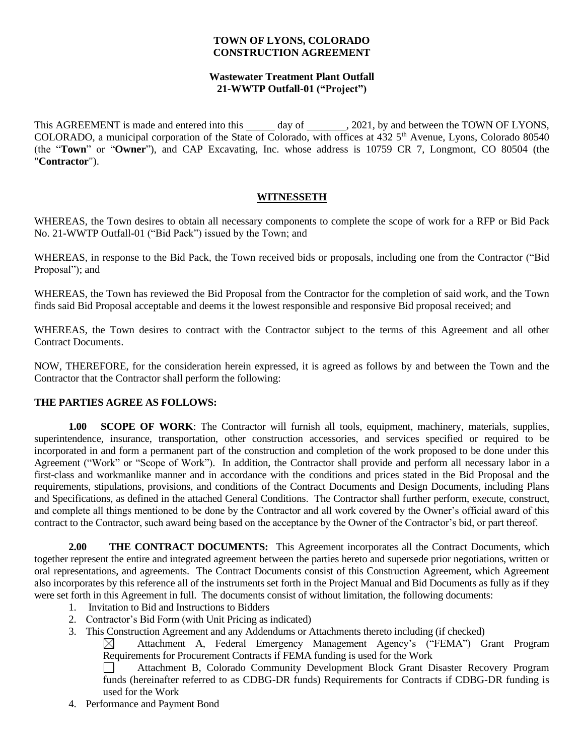### **TOWN OF LYONS, COLORADO CONSTRUCTION AGREEMENT**

## **Wastewater Treatment Plant Outfall 21-WWTP Outfall-01 ("Project")**

This AGREEMENT is made and entered into this \_\_\_\_\_\_ day of \_\_\_\_\_\_\_, 2021, by and between the TOWN OF LYONS, COLORADO, a municipal corporation of the State of Colorado, with offices at 432 5<sup>th</sup> Avenue, Lyons, Colorado 80540 (the "**Town**" or "**Owner**"), and CAP Excavating, Inc. whose address is 10759 CR 7, Longmont, CO 80504 (the "**Contractor**").

## **WITNESSETH**

WHEREAS, the Town desires to obtain all necessary components to complete the scope of work for a RFP or Bid Pack No. 21-WWTP Outfall-01 ("Bid Pack") issued by the Town; and

WHEREAS, in response to the Bid Pack, the Town received bids or proposals, including one from the Contractor ("Bid Proposal"); and

WHEREAS, the Town has reviewed the Bid Proposal from the Contractor for the completion of said work, and the Town finds said Bid Proposal acceptable and deems it the lowest responsible and responsive Bid proposal received; and

WHEREAS, the Town desires to contract with the Contractor subject to the terms of this Agreement and all other Contract Documents.

NOW, THEREFORE, for the consideration herein expressed, it is agreed as follows by and between the Town and the Contractor that the Contractor shall perform the following:

## **THE PARTIES AGREE AS FOLLOWS:**

**1.00 SCOPE OF WORK:** The Contractor will furnish all tools, equipment, machinery, materials, supplies, superintendence, insurance, transportation, other construction accessories, and services specified or required to be incorporated in and form a permanent part of the construction and completion of the work proposed to be done under this Agreement ("Work" or "Scope of Work"). In addition, the Contractor shall provide and perform all necessary labor in a first-class and workmanlike manner and in accordance with the conditions and prices stated in the Bid Proposal and the requirements, stipulations, provisions, and conditions of the Contract Documents and Design Documents, including Plans and Specifications, as defined in the attached General Conditions. The Contractor shall further perform, execute, construct, and complete all things mentioned to be done by the Contractor and all work covered by the Owner's official award of this contract to the Contractor, such award being based on the acceptance by the Owner of the Contractor's bid, or part thereof.

**2.00 THE CONTRACT DOCUMENTS:** This Agreement incorporates all the Contract Documents, which together represent the entire and integrated agreement between the parties hereto and supersede prior negotiations, written or oral representations, and agreements. The Contract Documents consist of this Construction Agreement, which Agreement also incorporates by this reference all of the instruments set forth in the Project Manual and Bid Documents as fully as if they were set forth in this Agreement in full. The documents consist of without limitation, the following documents:

- 1. Invitation to Bid and Instructions to Bidders
- 2. Contractor's Bid Form (with Unit Pricing as indicated)
- 3. This Construction Agreement and any Addendums or Attachments thereto including (if checked)

Attachment A, Federal Emergency Management Agency's ("FEMA") Grant Program  $\boxtimes$ Requirements for Procurement Contracts if FEMA funding is used for the Work

Attachment B, Colorado Community Development Block Grant Disaster Recovery Program funds (hereinafter referred to as CDBG-DR funds) Requirements for Contracts if CDBG-DR funding is used for the Work

4. Performance and Payment Bond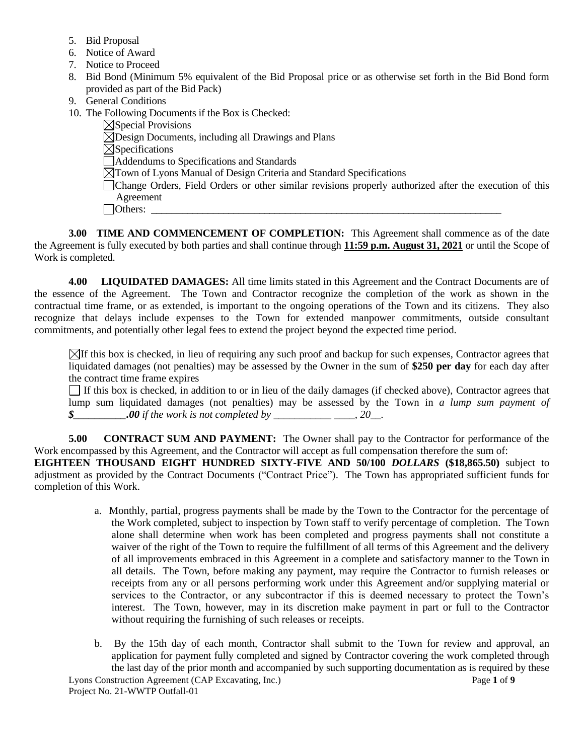- 5. Bid Proposal
- 6. Notice of Award
- 7. Notice to Proceed
- 8. Bid Bond (Minimum 5% equivalent of the Bid Proposal price or as otherwise set forth in the Bid Bond form provided as part of the Bid Pack)
- 9. General Conditions
- 10. The Following Documents if the Box is Checked:

 $\boxtimes$ Special Provisions  $\overline{\boxtimes}$ Design Documents, including all Drawings and Plans  $\boxtimes$ Specifications Addendums to Specifications and Standards Town of Lyons Manual of Design Criteria and Standard Specifications Change Orders, Field Orders or other similar revisions properly authorized after the execution of this Agreement Others: \_\_\_\_\_\_\_\_\_\_\_\_\_\_\_\_\_\_\_\_\_\_\_\_\_\_\_\_\_\_\_\_\_\_\_\_\_\_\_\_\_\_\_\_\_\_\_\_\_\_\_\_\_\_\_\_\_\_\_\_\_\_\_\_\_\_\_\_

**3.00 TIME AND COMMENCEMENT OF COMPLETION:** This Agreement shall commence as of the date the Agreement is fully executed by both parties and shall continue through **11:59 p.m. August 31, 2021** or until the Scope of Work is completed.

**4.00 LIQUIDATED DAMAGES:** All time limits stated in this Agreement and the Contract Documents are of the essence of the Agreement. The Town and Contractor recognize the completion of the work as shown in the contractual time frame, or as extended, is important to the ongoing operations of the Town and its citizens. They also recognize that delays include expenses to the Town for extended manpower commitments, outside consultant commitments, and potentially other legal fees to extend the project beyond the expected time period.

 $\boxtimes$ If this box is checked, in lieu of requiring any such proof and backup for such expenses, Contractor agrees that liquidated damages (not penalties) may be assessed by the Owner in the sum of **\$250 per day** for each day after the contract time frame expires

If this box is checked, in addition to or in lieu of the daily damages (if checked above), Contractor agrees that lump sum liquidated damages (not penalties) may be assessed by the Town in *a lump sum payment of \$\_\_\_\_\_\_\_\_\_\_.00 if the work is not completed by \_\_\_\_\_\_\_\_\_\_\_ \_\_\_\_, 20\_\_.* 

**5.00 CONTRACT SUM AND PAYMENT:** The Owner shall pay to the Contractor for performance of the Work encompassed by this Agreement, and the Contractor will accept as full compensation therefore the sum of:

**EIGHTEEN THOUSAND EIGHT HUNDRED SIXTY-FIVE AND 50/100** *DOLLARS* **(\$18,865.50)** subject to adjustment as provided by the Contract Documents ("Contract Price"). The Town has appropriated sufficient funds for completion of this Work.

- a. Monthly, partial, progress payments shall be made by the Town to the Contractor for the percentage of the Work completed, subject to inspection by Town staff to verify percentage of completion. The Town alone shall determine when work has been completed and progress payments shall not constitute a waiver of the right of the Town to require the fulfillment of all terms of this Agreement and the delivery of all improvements embraced in this Agreement in a complete and satisfactory manner to the Town in all details. The Town, before making any payment, may require the Contractor to furnish releases or receipts from any or all persons performing work under this Agreement and/or supplying material or services to the Contractor, or any subcontractor if this is deemed necessary to protect the Town's interest. The Town, however, may in its discretion make payment in part or full to the Contractor without requiring the furnishing of such releases or receipts.
- b. By the 15th day of each month, Contractor shall submit to the Town for review and approval, an application for payment fully completed and signed by Contractor covering the work completed through the last day of the prior month and accompanied by such supporting documentation as is required by these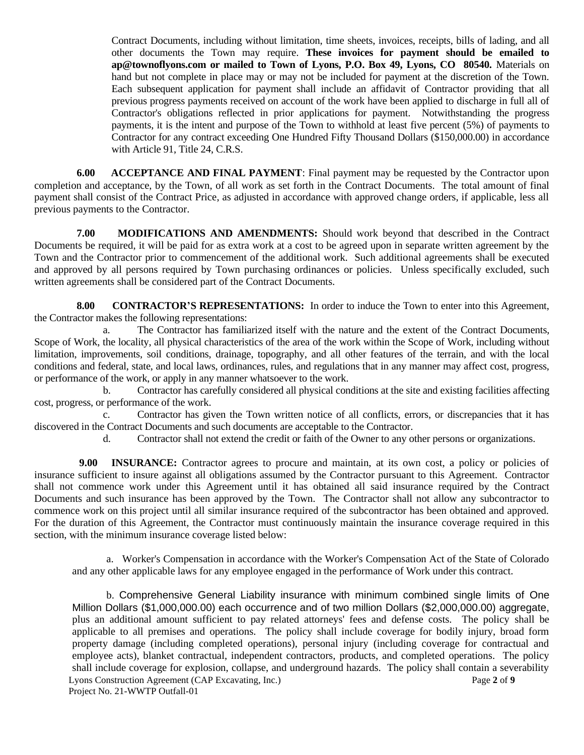Contract Documents, including without limitation, time sheets, invoices, receipts, bills of lading, and all other documents the Town may require. **These invoices for payment should be emailed to ap@townoflyons.com or mailed to Town of Lyons, P.O. Box 49, Lyons, CO 80540.** Materials on hand but not complete in place may or may not be included for payment at the discretion of the Town. Each subsequent application for payment shall include an affidavit of Contractor providing that all previous progress payments received on account of the work have been applied to discharge in full all of Contractor's obligations reflected in prior applications for payment. Notwithstanding the progress payments, it is the intent and purpose of the Town to withhold at least five percent (5%) of payments to Contractor for any contract exceeding One Hundred Fifty Thousand Dollars (\$150,000.00) in accordance with Article 91, Title 24, C.R.S.

**6.00 ACCEPTANCE AND FINAL PAYMENT**: Final payment may be requested by the Contractor upon completion and acceptance, by the Town, of all work as set forth in the Contract Documents. The total amount of final payment shall consist of the Contract Price, as adjusted in accordance with approved change orders, if applicable, less all previous payments to the Contractor.

**7.00 MODIFICATIONS AND AMENDMENTS:** Should work beyond that described in the Contract Documents be required, it will be paid for as extra work at a cost to be agreed upon in separate written agreement by the Town and the Contractor prior to commencement of the additional work. Such additional agreements shall be executed and approved by all persons required by Town purchasing ordinances or policies. Unless specifically excluded, such written agreements shall be considered part of the Contract Documents.

**8.00 CONTRACTOR'S REPRESENTATIONS:** In order to induce the Town to enter into this Agreement, the Contractor makes the following representations:

a. The Contractor has familiarized itself with the nature and the extent of the Contract Documents, Scope of Work, the locality, all physical characteristics of the area of the work within the Scope of Work, including without limitation, improvements, soil conditions, drainage, topography, and all other features of the terrain, and with the local conditions and federal, state, and local laws, ordinances, rules, and regulations that in any manner may affect cost, progress, or performance of the work, or apply in any manner whatsoever to the work.

b. Contractor has carefully considered all physical conditions at the site and existing facilities affecting cost, progress, or performance of the work.

c. Contractor has given the Town written notice of all conflicts, errors, or discrepancies that it has discovered in the Contract Documents and such documents are acceptable to the Contractor.

d. Contractor shall not extend the credit or faith of the Owner to any other persons or organizations.

 **9.00 INSURANCE:** Contractor agrees to procure and maintain, at its own cost, a policy or policies of insurance sufficient to insure against all obligations assumed by the Contractor pursuant to this Agreement. Contractor shall not commence work under this Agreement until it has obtained all said insurance required by the Contract Documents and such insurance has been approved by the Town. The Contractor shall not allow any subcontractor to commence work on this project until all similar insurance required of the subcontractor has been obtained and approved. For the duration of this Agreement, the Contractor must continuously maintain the insurance coverage required in this section, with the minimum insurance coverage listed below:

a. Worker's Compensation in accordance with the Worker's Compensation Act of the State of Colorado and any other applicable laws for any employee engaged in the performance of Work under this contract.

Lyons Construction Agreement (CAP Excavating, Inc.) Page **2** of **9** Project No. 21-WWTP Outfall-01 b. Comprehensive General Liability insurance with minimum combined single limits of One Million Dollars (\$1,000,000.00) each occurrence and of two million Dollars (\$2,000,000.00) aggregate, plus an additional amount sufficient to pay related attorneys' fees and defense costs. The policy shall be applicable to all premises and operations. The policy shall include coverage for bodily injury, broad form property damage (including completed operations), personal injury (including coverage for contractual and employee acts), blanket contractual, independent contractors, products, and completed operations. The policy shall include coverage for explosion, collapse, and underground hazards. The policy shall contain a severability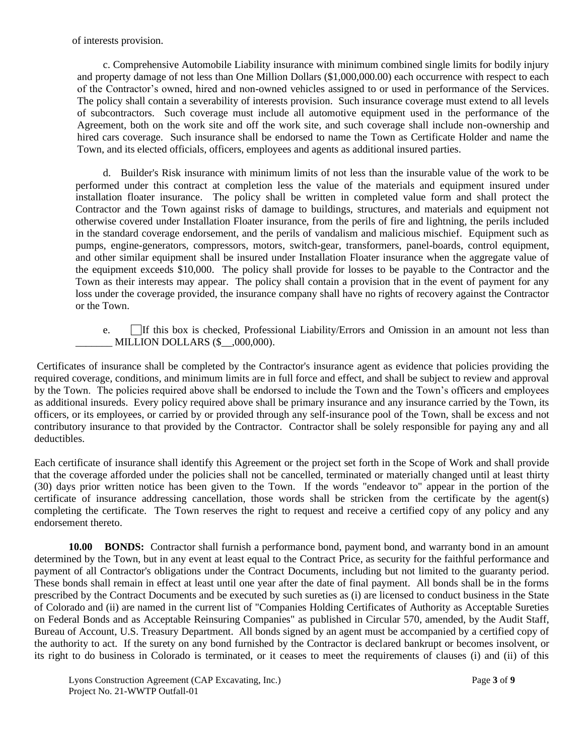of interests provision.

c. Comprehensive Automobile Liability insurance with minimum combined single limits for bodily injury and property damage of not less than One Million Dollars (\$1,000,000.00) each occurrence with respect to each of the Contractor's owned, hired and non-owned vehicles assigned to or used in performance of the Services. The policy shall contain a severability of interests provision. Such insurance coverage must extend to all levels of subcontractors. Such coverage must include all automotive equipment used in the performance of the Agreement, both on the work site and off the work site, and such coverage shall include non-ownership and hired cars coverage. Such insurance shall be endorsed to name the Town as Certificate Holder and name the Town, and its elected officials, officers, employees and agents as additional insured parties.

d. Builder's Risk insurance with minimum limits of not less than the insurable value of the work to be performed under this contract at completion less the value of the materials and equipment insured under installation floater insurance. The policy shall be written in completed value form and shall protect the Contractor and the Town against risks of damage to buildings, structures, and materials and equipment not otherwise covered under Installation Floater insurance, from the perils of fire and lightning, the perils included in the standard coverage endorsement, and the perils of vandalism and malicious mischief. Equipment such as pumps, engine-generators, compressors, motors, switch-gear, transformers, panel-boards, control equipment, and other similar equipment shall be insured under Installation Floater insurance when the aggregate value of the equipment exceeds \$10,000. The policy shall provide for losses to be payable to the Contractor and the Town as their interests may appear. The policy shall contain a provision that in the event of payment for any loss under the coverage provided, the insurance company shall have no rights of recovery against the Contractor or the Town.

e. If this box is checked, Professional Liability/Errors and Omission in an amount not less than MILLION DOLLARS  $(\$$   $.000,000)$ .

Certificates of insurance shall be completed by the Contractor's insurance agent as evidence that policies providing the required coverage, conditions, and minimum limits are in full force and effect, and shall be subject to review and approval by the Town. The policies required above shall be endorsed to include the Town and the Town's officers and employees as additional insureds. Every policy required above shall be primary insurance and any insurance carried by the Town, its officers, or its employees, or carried by or provided through any self-insurance pool of the Town, shall be excess and not contributory insurance to that provided by the Contractor. Contractor shall be solely responsible for paying any and all deductibles.

Each certificate of insurance shall identify this Agreement or the project set forth in the Scope of Work and shall provide that the coverage afforded under the policies shall not be cancelled, terminated or materially changed until at least thirty (30) days prior written notice has been given to the Town. If the words "endeavor to" appear in the portion of the certificate of insurance addressing cancellation, those words shall be stricken from the certificate by the agent(s) completing the certificate. The Town reserves the right to request and receive a certified copy of any policy and any endorsement thereto.

**10.00 BONDS:** Contractor shall furnish a performance bond, payment bond, and warranty bond in an amount determined by the Town, but in any event at least equal to the Contract Price, as security for the faithful performance and payment of all Contractor's obligations under the Contract Documents, including but not limited to the guaranty period. These bonds shall remain in effect at least until one year after the date of final payment. All bonds shall be in the forms prescribed by the Contract Documents and be executed by such sureties as (i) are licensed to conduct business in the State of Colorado and (ii) are named in the current list of "Companies Holding Certificates of Authority as Acceptable Sureties on Federal Bonds and as Acceptable Reinsuring Companies" as published in Circular 570, amended, by the Audit Staff, Bureau of Account, U.S. Treasury Department. All bonds signed by an agent must be accompanied by a certified copy of the authority to act. If the surety on any bond furnished by the Contractor is declared bankrupt or becomes insolvent, or its right to do business in Colorado is terminated, or it ceases to meet the requirements of clauses (i) and (ii) of this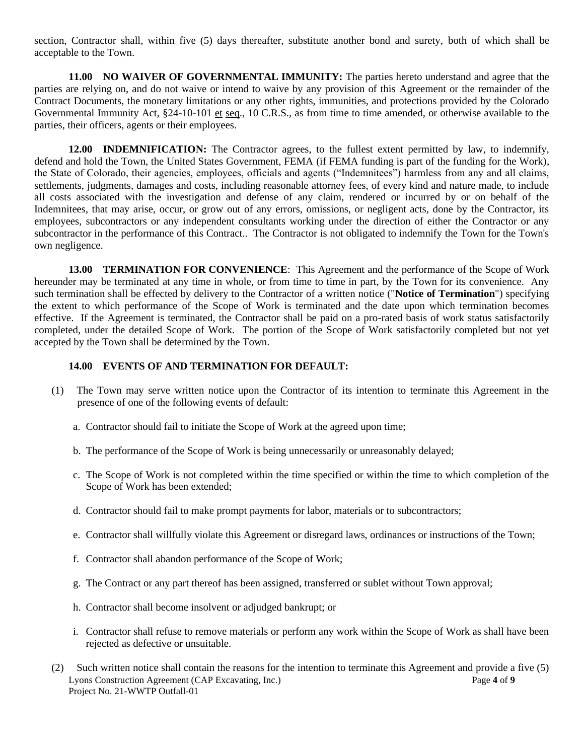section, Contractor shall, within five (5) days thereafter, substitute another bond and surety, both of which shall be acceptable to the Town.

**11.00 NO WAIVER OF GOVERNMENTAL IMMUNITY:** The parties hereto understand and agree that the parties are relying on, and do not waive or intend to waive by any provision of this Agreement or the remainder of the Contract Documents, the monetary limitations or any other rights, immunities, and protections provided by the Colorado Governmental Immunity Act, §24-10-101 et seq., 10 C.R.S., as from time to time amended, or otherwise available to the parties, their officers, agents or their employees.

**12.00 INDEMNIFICATION:** The Contractor agrees, to the fullest extent permitted by law, to indemnify, defend and hold the Town, the United States Government, FEMA (if FEMA funding is part of the funding for the Work), the State of Colorado, their agencies, employees, officials and agents ("Indemnitees") harmless from any and all claims, settlements, judgments, damages and costs, including reasonable attorney fees, of every kind and nature made, to include all costs associated with the investigation and defense of any claim, rendered or incurred by or on behalf of the Indemnitees, that may arise, occur, or grow out of any errors, omissions, or negligent acts, done by the Contractor, its employees, subcontractors or any independent consultants working under the direction of either the Contractor or any subcontractor in the performance of this Contract.. The Contractor is not obligated to indemnify the Town for the Town's own negligence.

**13.00 TERMINATION FOR CONVENIENCE**: This Agreement and the performance of the Scope of Work hereunder may be terminated at any time in whole, or from time to time in part, by the Town for its convenience. Any such termination shall be effected by delivery to the Contractor of a written notice ("**Notice of Termination**") specifying the extent to which performance of the Scope of Work is terminated and the date upon which termination becomes effective. If the Agreement is terminated, the Contractor shall be paid on a pro-rated basis of work status satisfactorily completed, under the detailed Scope of Work. The portion of the Scope of Work satisfactorily completed but not yet accepted by the Town shall be determined by the Town.

#### **14.00 EVENTS OF AND TERMINATION FOR DEFAULT:**

- (1) The Town may serve written notice upon the Contractor of its intention to terminate this Agreement in the presence of one of the following events of default:
	- a. Contractor should fail to initiate the Scope of Work at the agreed upon time;
	- b. The performance of the Scope of Work is being unnecessarily or unreasonably delayed;
	- c. The Scope of Work is not completed within the time specified or within the time to which completion of the Scope of Work has been extended;
	- d. Contractor should fail to make prompt payments for labor, materials or to subcontractors;
	- e. Contractor shall willfully violate this Agreement or disregard laws, ordinances or instructions of the Town;
	- f. Contractor shall abandon performance of the Scope of Work;
	- g. The Contract or any part thereof has been assigned, transferred or sublet without Town approval;
	- h. Contractor shall become insolvent or adjudged bankrupt; or
	- i. Contractor shall refuse to remove materials or perform any work within the Scope of Work as shall have been rejected as defective or unsuitable.
- Lyons Construction Agreement (CAP Excavating, Inc.) Page **4** of **9** Project No. 21-WWTP Outfall-01 (2) Such written notice shall contain the reasons for the intention to terminate this Agreement and provide a five (5)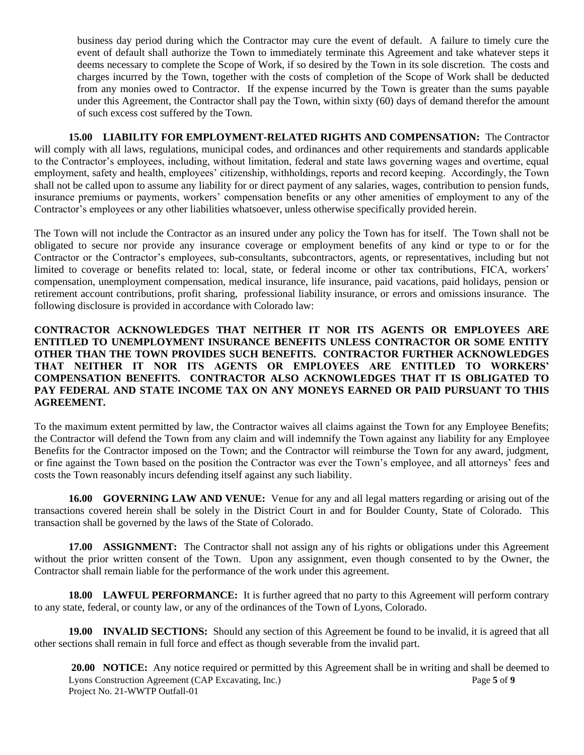business day period during which the Contractor may cure the event of default. A failure to timely cure the event of default shall authorize the Town to immediately terminate this Agreement and take whatever steps it deems necessary to complete the Scope of Work, if so desired by the Town in its sole discretion. The costs and charges incurred by the Town, together with the costs of completion of the Scope of Work shall be deducted from any monies owed to Contractor. If the expense incurred by the Town is greater than the sums payable under this Agreement, the Contractor shall pay the Town, within sixty (60) days of demand therefor the amount of such excess cost suffered by the Town.

**15.00 LIABILITY FOR EMPLOYMENT-RELATED RIGHTS AND COMPENSATION:** The Contractor will comply with all laws, regulations, municipal codes, and ordinances and other requirements and standards applicable to the Contractor's employees, including, without limitation, federal and state laws governing wages and overtime, equal employment, safety and health, employees' citizenship, withholdings, reports and record keeping. Accordingly, the Town shall not be called upon to assume any liability for or direct payment of any salaries, wages, contribution to pension funds, insurance premiums or payments, workers' compensation benefits or any other amenities of employment to any of the Contractor's employees or any other liabilities whatsoever, unless otherwise specifically provided herein.

The Town will not include the Contractor as an insured under any policy the Town has for itself. The Town shall not be obligated to secure nor provide any insurance coverage or employment benefits of any kind or type to or for the Contractor or the Contractor's employees, sub-consultants, subcontractors, agents, or representatives, including but not limited to coverage or benefits related to: local, state, or federal income or other tax contributions, FICA, workers' compensation, unemployment compensation, medical insurance, life insurance, paid vacations, paid holidays, pension or retirement account contributions, profit sharing, professional liability insurance, or errors and omissions insurance. The following disclosure is provided in accordance with Colorado law:

# **CONTRACTOR ACKNOWLEDGES THAT NEITHER IT NOR ITS AGENTS OR EMPLOYEES ARE ENTITLED TO UNEMPLOYMENT INSURANCE BENEFITS UNLESS CONTRACTOR OR SOME ENTITY OTHER THAN THE TOWN PROVIDES SUCH BENEFITS. CONTRACTOR FURTHER ACKNOWLEDGES THAT NEITHER IT NOR ITS AGENTS OR EMPLOYEES ARE ENTITLED TO WORKERS' COMPENSATION BENEFITS. CONTRACTOR ALSO ACKNOWLEDGES THAT IT IS OBLIGATED TO PAY FEDERAL AND STATE INCOME TAX ON ANY MONEYS EARNED OR PAID PURSUANT TO THIS AGREEMENT.**

To the maximum extent permitted by law, the Contractor waives all claims against the Town for any Employee Benefits; the Contractor will defend the Town from any claim and will indemnify the Town against any liability for any Employee Benefits for the Contractor imposed on the Town; and the Contractor will reimburse the Town for any award, judgment, or fine against the Town based on the position the Contractor was ever the Town's employee, and all attorneys' fees and costs the Town reasonably incurs defending itself against any such liability.

**16.00 GOVERNING LAW AND VENUE:** Venue for any and all legal matters regarding or arising out of the transactions covered herein shall be solely in the District Court in and for Boulder County, State of Colorado. This transaction shall be governed by the laws of the State of Colorado.

**17.00 ASSIGNMENT:** The Contractor shall not assign any of his rights or obligations under this Agreement without the prior written consent of the Town. Upon any assignment, even though consented to by the Owner, the Contractor shall remain liable for the performance of the work under this agreement.

**18.00 LAWFUL PERFORMANCE:** It is further agreed that no party to this Agreement will perform contrary to any state, federal, or county law, or any of the ordinances of the Town of Lyons, Colorado.

**19.00 INVALID SECTIONS:** Should any section of this Agreement be found to be invalid, it is agreed that all other sections shall remain in full force and effect as though severable from the invalid part.

Lyons Construction Agreement (CAP Excavating, Inc.) Page 5 of 9 Project No. 21-WWTP Outfall-01 **20.00 NOTICE:** Any notice required or permitted by this Agreement shall be in writing and shall be deemed to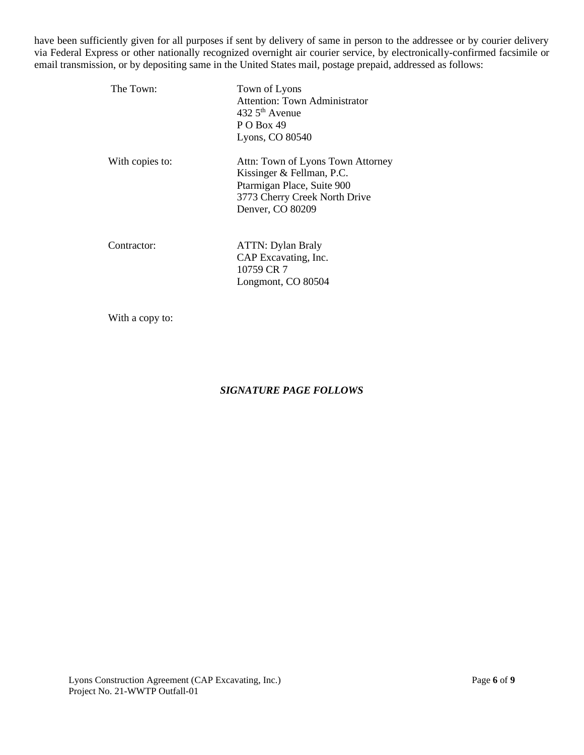have been sufficiently given for all purposes if sent by delivery of same in person to the addressee or by courier delivery via Federal Express or other nationally recognized overnight air courier service, by electronically-confirmed facsimile or email transmission, or by depositing same in the United States mail, postage prepaid, addressed as follows:

| The Town:       | Town of Lyons<br><b>Attention: Town Administrator</b><br>$432.5th$ Avenue<br><b>P O Box 49</b><br>Lyons, CO 80540                                 |  |  |
|-----------------|---------------------------------------------------------------------------------------------------------------------------------------------------|--|--|
| With copies to: | Attn: Town of Lyons Town Attorney<br>Kissinger & Fellman, P.C.<br>Ptarmigan Place, Suite 900<br>3773 Cherry Creek North Drive<br>Denver, CO 80209 |  |  |
| Contractor:     | <b>ATTN: Dylan Braly</b><br>CAP Excavating, Inc.<br>10759 CR 7<br>Longmont, CO 80504                                                              |  |  |

With a copy to:

# *SIGNATURE PAGE FOLLOWS*